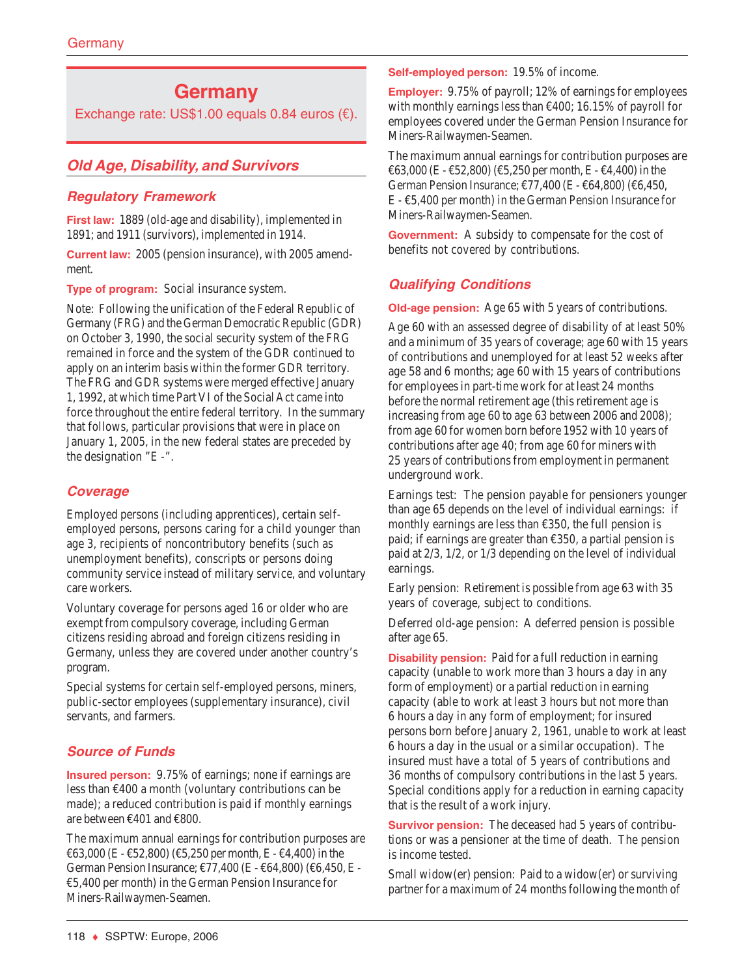# **Germany**

Exchange rate: US\$1.00 equals 0.84 euros (€).

# **Old Age, Disability, and Survivors**

# **Regulatory Framework**

**First law:** 1889 (old-age and disability), implemented in 1891; and 1911 (survivors), implemented in 1914.

**Current law:** 2005 (pension insurance), with 2005 amendment.

**Type of program:** Social insurance system.

Note: Following the unification of the Federal Republic of Germany (FRG) and the German Democratic Republic (GDR) on October 3, 1990, the social security system of the FRG remained in force and the system of the GDR continued to apply on an interim basis within the former GDR territory. The FRG and GDR systems were merged effective January 1, 1992, at which time Part VI of the Social Act came into force throughout the entire federal territory. In the summary that follows, particular provisions that were in place on January 1, 2005, in the new federal states are preceded by the designation "E -".

# **Coverage**

Employed persons (including apprentices), certain selfemployed persons, persons caring for a child younger than age 3, recipients of noncontributory benefits (such as unemployment benefits), conscripts or persons doing community service instead of military service, and voluntary care workers.

Voluntary coverage for persons aged 16 or older who are exempt from compulsory coverage, including German citizens residing abroad and foreign citizens residing in Germany, unless they are covered under another country's program.

Special systems for certain self-employed persons, miners, public-sector employees (supplementary insurance), civil servants, and farmers.

# **Source of Funds**

**Insured person:** 9.75% of earnings; none if earnings are less than  $\epsilon$ 400 a month (voluntary contributions can be made); a reduced contribution is paid if monthly earnings are between €401 and €800.

The maximum annual earnings for contribution purposes are €63,000 (E - €52,800) (€5,250 per month, E - €4,400) in the German Pension Insurance; €77,400 (E - €64,800) (€6,450, E - €5,400 per month) in the German Pension Insurance for Miners-Railwaymen-Seamen.

**Self-employed person:** 19.5% of income.

**Employer:** 9.75% of payroll; 12% of earnings for employees with monthly earnings less than €400; 16.15% of payroll for employees covered under the German Pension Insurance for Miners-Railwaymen-Seamen.

The maximum annual earnings for contribution purposes are €63,000 (E - €52,800) (€5,250 per month, E - €4,400) in the German Pension Insurance; €77,400 (E - €64,800) (€6,450, E - €5,400 per month) in the German Pension Insurance for Miners-Railwaymen-Seamen.

**Government:** A subsidy to compensate for the cost of benefits not covered by contributions.

# **Qualifying Conditions**

**Old-age pension:** Age 65 with 5 years of contributions.

Age 60 with an assessed degree of disability of at least 50% and a minimum of 35 years of coverage; age 60 with 15 years of contributions and unemployed for at least 52 weeks after age 58 and 6 months; age 60 with 15 years of contributions for employees in part-time work for at least 24 months before the normal retirement age (this retirement age is increasing from age 60 to age 63 between 2006 and 2008); from age 60 for women born before 1952 with 10 years of contributions after age 40; from age 60 for miners with 25 years of contributions from employment in permanent underground work.

Earnings test: The pension payable for pensioners younger than age 65 depends on the level of individual earnings: if monthly earnings are less than  $£350$ , the full pension is paid; if earnings are greater than €350, a partial pension is paid at 2/3, 1/2, or 1/3 depending on the level of individual earnings.

Early pension: Retirement is possible from age 63 with 35 years of coverage, subject to conditions.

Deferred old-age pension: A deferred pension is possible after age 65.

**Disability pension:** Paid for a full reduction in earning capacity (unable to work more than 3 hours a day in any form of employment) or a partial reduction in earning capacity (able to work at least 3 hours but not more than 6 hours a day in any form of employment; for insured persons born before January 2, 1961, unable to work at least 6 hours a day in the usual or a similar occupation). The insured must have a total of 5 years of contributions and 36 months of compulsory contributions in the last 5 years. Special conditions apply for a reduction in earning capacity that is the result of a work injury.

**Survivor pension:** The deceased had 5 years of contributions or was a pensioner at the time of death. The pension is income tested.

Small widow(er) pension: Paid to a widow(er) or surviving partner for a maximum of 24 months following the month of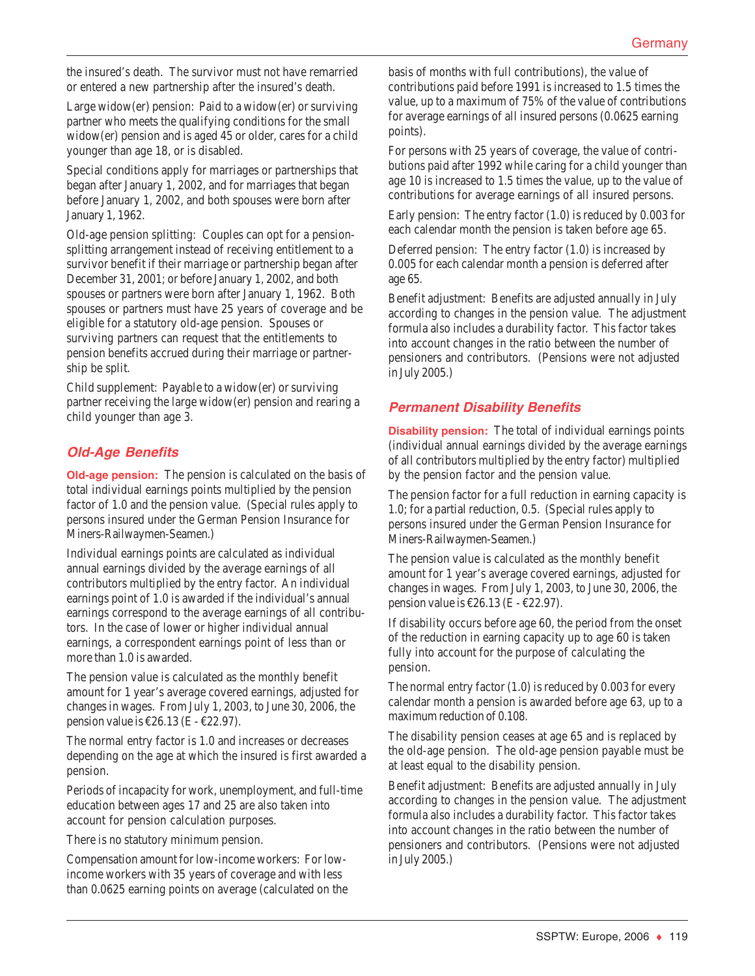the insured's death. The survivor must not have remarried or entered a new partnership after the insured's death.

Large widow(er) pension: Paid to a widow(er) or surviving partner who meets the qualifying conditions for the small widow(er) pension and is aged 45 or older, cares for a child younger than age 18, or is disabled.

Special conditions apply for marriages or partnerships that began after January 1, 2002, and for marriages that began before January 1, 2002, and both spouses were born after January 1, 1962.

Old-age pension splitting: Couples can opt for a pensionsplitting arrangement instead of receiving entitlement to a survivor benefit if their marriage or partnership began after December 31, 2001; or before January 1, 2002, and both spouses or partners were born after January 1, 1962. Both spouses or partners must have 25 years of coverage and be eligible for a statutory old-age pension. Spouses or surviving partners can request that the entitlements to pension benefits accrued during their marriage or partnership be split.

Child supplement: Payable to a widow(er) or surviving partner receiving the large widow(er) pension and rearing a child younger than age 3.

# **Old-Age Benefits**

**Old-age pension:** The pension is calculated on the basis of total individual earnings points multiplied by the pension factor of 1.0 and the pension value. (Special rules apply to persons insured under the German Pension Insurance for Miners-Railwaymen-Seamen.)

Individual earnings points are calculated as individual annual earnings divided by the average earnings of all contributors multiplied by the entry factor. An individual earnings point of 1.0 is awarded if the individual's annual earnings correspond to the average earnings of all contributors. In the case of lower or higher individual annual earnings, a correspondent earnings point of less than or more than 1.0 is awarded.

The pension value is calculated as the monthly benefit amount for 1 year's average covered earnings, adjusted for changes in wages. From July 1, 2003, to June 30, 2006, the pension value is  $\text{\textsterling}26.13$  (E -  $\text{\textsterling}22.97$ ).

The normal entry factor is 1.0 and increases or decreases depending on the age at which the insured is first awarded a pension.

Periods of incapacity for work, unemployment, and full-time education between ages 17 and 25 are also taken into account for pension calculation purposes.

There is no statutory minimum pension.

Compensation amount for low-income workers: For lowincome workers with 35 years of coverage and with less than 0.0625 earning points on average (calculated on the basis of months with full contributions), the value of contributions paid before 1991 is increased to 1.5 times the value, up to a maximum of 75% of the value of contributions for average earnings of all insured persons (0.0625 earning points).

For persons with 25 years of coverage, the value of contributions paid after 1992 while caring for a child younger than age 10 is increased to 1.5 times the value, up to the value of contributions for average earnings of all insured persons.

Early pension: The entry factor (1.0) is reduced by 0.003 for each calendar month the pension is taken before age 65.

Deferred pension: The entry factor (1.0) is increased by 0.005 for each calendar month a pension is deferred after age 65.

Benefit adjustment: Benefits are adjusted annually in July according to changes in the pension value. The adjustment formula also includes a durability factor. This factor takes into account changes in the ratio between the number of pensioners and contributors. (Pensions were not adjusted in July 2005.)

# **Permanent Disability Benefits**

**Disability pension:** The total of individual earnings points (individual annual earnings divided by the average earnings of all contributors multiplied by the entry factor) multiplied by the pension factor and the pension value.

The pension factor for a full reduction in earning capacity is 1.0; for a partial reduction, 0.5. (Special rules apply to persons insured under the German Pension Insurance for Miners-Railwaymen-Seamen.)

The pension value is calculated as the monthly benefit amount for 1 year's average covered earnings, adjusted for changes in wages. From July 1, 2003, to June 30, 2006, the pension value is  $\text{\textsterling}26.13$  (E -  $\text{\textsterling}22.97$ ).

If disability occurs before age 60, the period from the onset of the reduction in earning capacity up to age 60 is taken fully into account for the purpose of calculating the pension.

The normal entry factor (1.0) is reduced by 0.003 for every calendar month a pension is awarded before age 63, up to a maximum reduction of 0.108.

The disability pension ceases at age 65 and is replaced by the old-age pension. The old-age pension payable must be at least equal to the disability pension.

Benefit adjustment: Benefits are adjusted annually in July according to changes in the pension value. The adjustment formula also includes a durability factor. This factor takes into account changes in the ratio between the number of pensioners and contributors. (Pensions were not adjusted in July 2005.)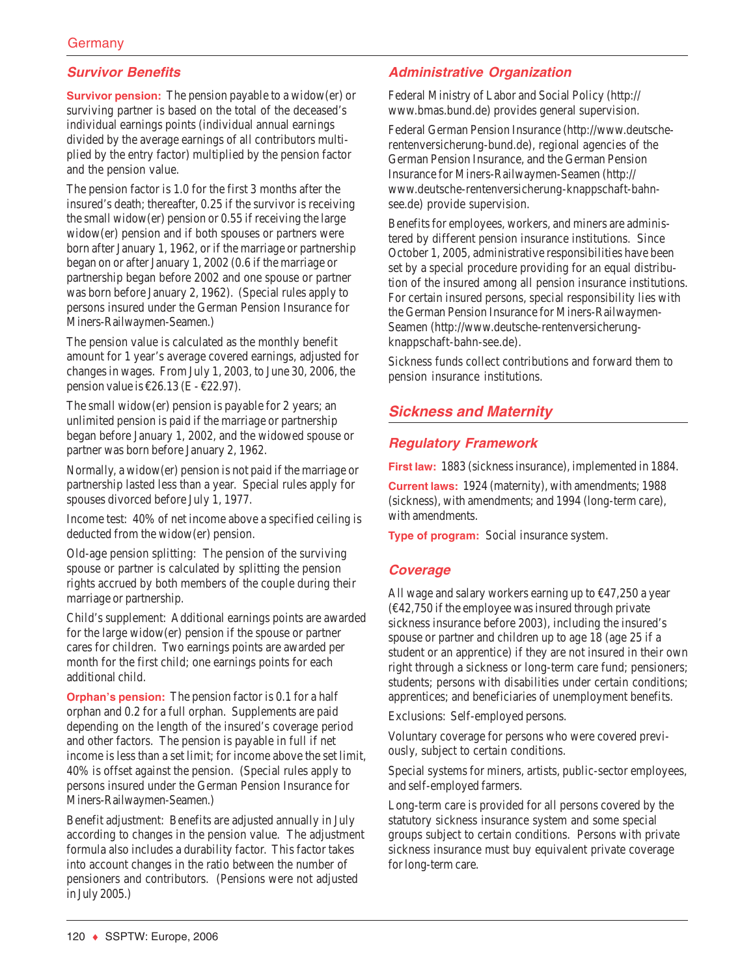# **Survivor Benefits**

**Survivor pension:** The pension payable to a widow(er) or surviving partner is based on the total of the deceased's individual earnings points (individual annual earnings divided by the average earnings of all contributors multiplied by the entry factor) multiplied by the pension factor and the pension value.

The pension factor is 1.0 for the first 3 months after the insured's death; thereafter, 0.25 if the survivor is receiving the small widow(er) pension or 0.55 if receiving the large widow(er) pension and if both spouses or partners were born after January 1, 1962, or if the marriage or partnership began on or after January 1, 2002 (0.6 if the marriage or partnership began before 2002 and one spouse or partner was born before January 2, 1962). (Special rules apply to persons insured under the German Pension Insurance for Miners-Railwaymen-Seamen.)

The pension value is calculated as the monthly benefit amount for 1 year's average covered earnings, adjusted for changes in wages. From July 1, 2003, to June 30, 2006, the pension value is  $\epsilon$ 26.13 (E -  $\epsilon$ 22.97).

The small widow(er) pension is payable for 2 years; an unlimited pension is paid if the marriage or partnership began before January 1, 2002, and the widowed spouse or partner was born before January 2, 1962.

Normally, a widow(er) pension is not paid if the marriage or partnership lasted less than a year. Special rules apply for spouses divorced before July 1, 1977.

Income test: 40% of net income above a specified ceiling is deducted from the widow(er) pension.

Old-age pension splitting: The pension of the surviving spouse or partner is calculated by splitting the pension rights accrued by both members of the couple during their marriage or partnership.

Child's supplement: Additional earnings points are awarded for the large widow(er) pension if the spouse or partner cares for children. Two earnings points are awarded per month for the first child; one earnings points for each additional child.

**Orphan's pension:** The pension factor is 0.1 for a half orphan and 0.2 for a full orphan. Supplements are paid depending on the length of the insured's coverage period and other factors. The pension is payable in full if net income is less than a set limit; for income above the set limit, 40% is offset against the pension. (Special rules apply to persons insured under the German Pension Insurance for Miners-Railwaymen-Seamen.)

Benefit adjustment: Benefits are adjusted annually in July according to changes in the pension value. The adjustment formula also includes a durability factor. This factor takes into account changes in the ratio between the number of pensioners and contributors. (Pensions were not adjusted in July 2005.)

# **Administrative Organization**

Federal Ministry of Labor and Social Policy (http:// www.bmas.bund.de) provides general supervision.

Federal German Pension Insurance (http://www.deutscherentenversicherung-bund.de), regional agencies of the German Pension Insurance, and the German Pension Insurance for Miners-Railwaymen-Seamen (http:// www.deutsche-rentenversicherung-knappschaft-bahnsee.de) provide supervision.

Benefits for employees, workers, and miners are administered by different pension insurance institutions. Since October 1, 2005, administrative responsibilities have been set by a special procedure providing for an equal distribution of the insured among all pension insurance institutions. For certain insured persons, special responsibility lies with the German Pension Insurance for Miners-Railwaymen-Seamen (http://www.deutsche-rentenversicherungknappschaft-bahn-see.de).

Sickness funds collect contributions and forward them to pension insurance institutions.

# **Sickness and Maternity**

#### **Regulatory Framework**

**First law:** 1883 (sickness insurance), implemented in 1884.

**Current laws:** 1924 (maternity), with amendments; 1988 (sickness), with amendments; and 1994 (long-term care), with amendments.

**Type of program:** Social insurance system.

#### **Coverage**

All wage and salary workers earning up to  $\epsilon$ 47,250 a year  $(42,750$  if the employee was insured through private sickness insurance before 2003), including the insured's spouse or partner and children up to age 18 (age 25 if a student or an apprentice) if they are not insured in their own right through a sickness or long-term care fund; pensioners; students; persons with disabilities under certain conditions; apprentices; and beneficiaries of unemployment benefits.

Exclusions: Self-employed persons.

Voluntary coverage for persons who were covered previously, subject to certain conditions.

Special systems for miners, artists, public-sector employees, and self-employed farmers.

Long-term care is provided for all persons covered by the statutory sickness insurance system and some special groups subject to certain conditions. Persons with private sickness insurance must buy equivalent private coverage for long-term care.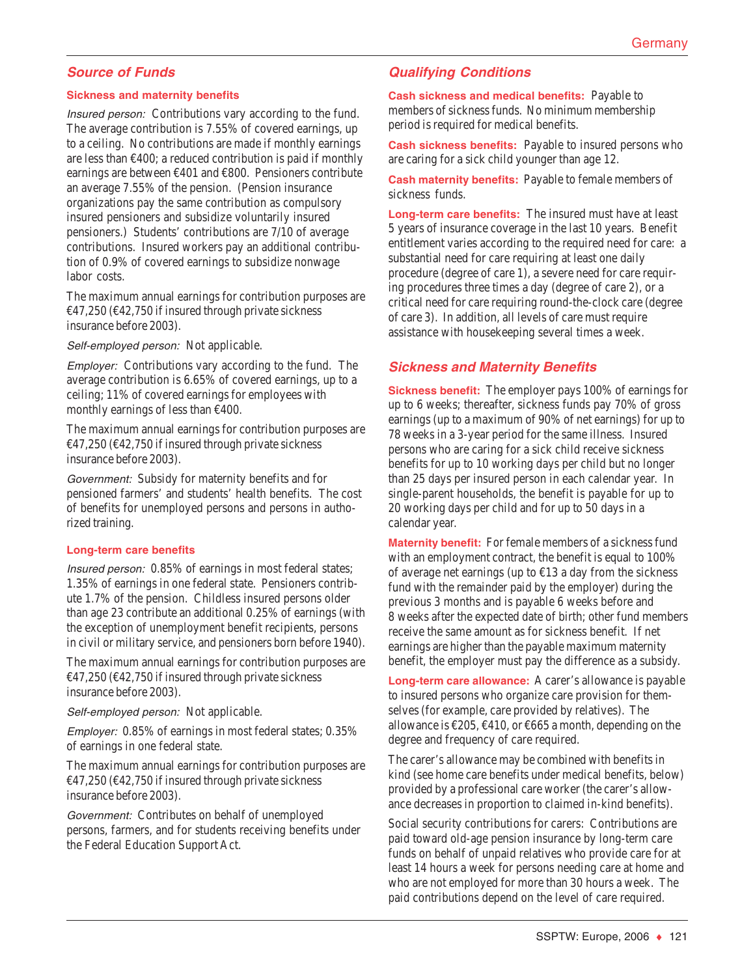# **Source of Funds**

#### **Sickness and maternity benefits**

Insured person: Contributions vary according to the fund. The average contribution is 7.55% of covered earnings, up to a ceiling. No contributions are made if monthly earnings are less than €400; a reduced contribution is paid if monthly earnings are between €401 and €800. Pensioners contribute an average 7.55% of the pension. (Pension insurance organizations pay the same contribution as compulsory insured pensioners and subsidize voluntarily insured pensioners.) Students' contributions are 7/10 of average contributions. Insured workers pay an additional contribution of 0.9% of covered earnings to subsidize nonwage labor costs.

The maximum annual earnings for contribution purposes are  $\text{\textsterling}47,250$  ( $\text{\textsterling}42,750$  if insured through private sickness insurance before 2003).

Self-employed person: Not applicable.

Employer: Contributions vary according to the fund. The average contribution is 6.65% of covered earnings, up to a ceiling; 11% of covered earnings for employees with monthly earnings of less than  $\epsilon$ 400.

The maximum annual earnings for contribution purposes are  $\text{\textsterling}47,250$  ( $\text{\textsterling}42,750$  if insured through private sickness insurance before 2003).

Government: Subsidy for maternity benefits and for pensioned farmers' and students' health benefits. The cost of benefits for unemployed persons and persons in authorized training.

#### **Long-term care benefits**

Insured person: 0.85% of earnings in most federal states; 1.35% of earnings in one federal state. Pensioners contribute 1.7% of the pension. Childless insured persons older than age 23 contribute an additional 0.25% of earnings (with the exception of unemployment benefit recipients, persons in civil or military service, and pensioners born before 1940).

The maximum annual earnings for contribution purposes are  $\text{\textsterling}47,250$  ( $\text{\textsterling}42,750$  if insured through private sickness insurance before 2003).

Self-employed person: Not applicable.

Employer: 0.85% of earnings in most federal states; 0.35% of earnings in one federal state.

The maximum annual earnings for contribution purposes are  $\text{\textsterling}47,250$  ( $\text{\textsterling}42,750$  if insured through private sickness insurance before 2003).

Government: Contributes on behalf of unemployed persons, farmers, and for students receiving benefits under the Federal Education Support Act.

#### **Qualifying Conditions**

**Cash sickness and medical benefits:** Payable to members of sickness funds. No minimum membership period is required for medical benefits.

**Cash sickness benefits:** Payable to insured persons who are caring for a sick child younger than age 12.

**Cash maternity benefits:** Payable to female members of sickness funds.

**Long-term care benefits:** The insured must have at least 5 years of insurance coverage in the last 10 years. Benefit entitlement varies according to the required need for care: a substantial need for care requiring at least one daily procedure (degree of care 1), a severe need for care requiring procedures three times a day (degree of care 2), or a critical need for care requiring round-the-clock care (degree of care 3). In addition, all levels of care must require assistance with housekeeping several times a week.

# **Sickness and Maternity Benefits**

**Sickness benefit:** The employer pays 100% of earnings for up to 6 weeks; thereafter, sickness funds pay 70% of gross earnings (up to a maximum of 90% of net earnings) for up to 78 weeks in a 3-year period for the same illness. Insured persons who are caring for a sick child receive sickness benefits for up to 10 working days per child but no longer than 25 days per insured person in each calendar year. In single-parent households, the benefit is payable for up to 20 working days per child and for up to 50 days in a calendar year.

**Maternity benefit:** For female members of a sickness fund with an employment contract, the benefit is equal to 100% of average net earnings (up to  $\epsilon$ 13 a day from the sickness fund with the remainder paid by the employer) during the previous 3 months and is payable 6 weeks before and 8 weeks after the expected date of birth; other fund members receive the same amount as for sickness benefit. If net earnings are higher than the payable maximum maternity benefit, the employer must pay the difference as a subsidy.

**Long-term care allowance:** A carer's allowance is payable to insured persons who organize care provision for themselves (for example, care provided by relatives). The allowance is €205, €410, or €665 a month, depending on the degree and frequency of care required.

The carer's allowance may be combined with benefits in kind (see home care benefits under medical benefits, below) provided by a professional care worker (the carer's allowance decreases in proportion to claimed in-kind benefits).

Social security contributions for carers: Contributions are paid toward old-age pension insurance by long-term care funds on behalf of unpaid relatives who provide care for at least 14 hours a week for persons needing care at home and who are not employed for more than 30 hours a week. The paid contributions depend on the level of care required.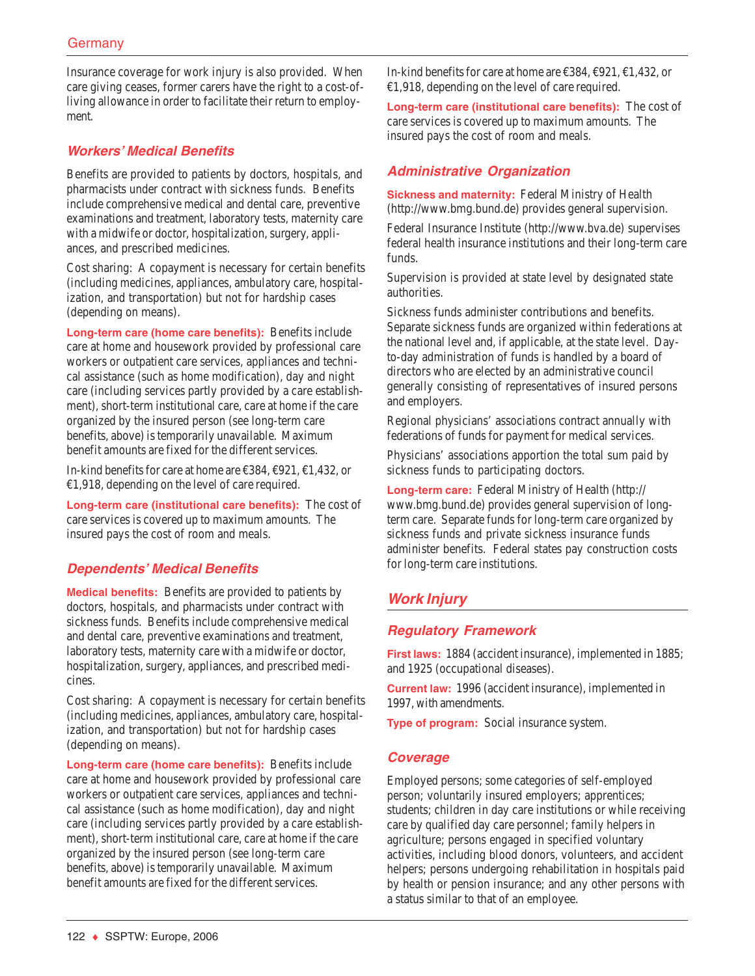Insurance coverage for work injury is also provided. When care giving ceases, former carers have the right to a cost-ofliving allowance in order to facilitate their return to employment.

# **Workers' Medical Benefits**

Benefits are provided to patients by doctors, hospitals, and pharmacists under contract with sickness funds. Benefits include comprehensive medical and dental care, preventive examinations and treatment, laboratory tests, maternity care with a midwife or doctor, hospitalization, surgery, appliances, and prescribed medicines.

Cost sharing: A copayment is necessary for certain benefits (including medicines, appliances, ambulatory care, hospitalization, and transportation) but not for hardship cases (depending on means).

**Long-term care (home care benefits):** Benefits include care at home and housework provided by professional care workers or outpatient care services, appliances and technical assistance (such as home modification), day and night care (including services partly provided by a care establishment), short-term institutional care, care at home if the care organized by the insured person (see long-term care benefits, above) is temporarily unavailable. Maximum benefit amounts are fixed for the different services.

In-kind benefits for care at home are €384, €921, €1,432, or €1,918, depending on the level of care required.

**Long-term care (institutional care benefits):** The cost of care services is covered up to maximum amounts. The insured pays the cost of room and meals.

## **Dependents' Medical Benefits**

**Medical benefits:** Benefits are provided to patients by doctors, hospitals, and pharmacists under contract with sickness funds. Benefits include comprehensive medical and dental care, preventive examinations and treatment, laboratory tests, maternity care with a midwife or doctor, hospitalization, surgery, appliances, and prescribed medicines.

Cost sharing: A copayment is necessary for certain benefits (including medicines, appliances, ambulatory care, hospitalization, and transportation) but not for hardship cases (depending on means).

**Long-term care (home care benefits):** Benefits include care at home and housework provided by professional care workers or outpatient care services, appliances and technical assistance (such as home modification), day and night care (including services partly provided by a care establishment), short-term institutional care, care at home if the care organized by the insured person (see long-term care benefits, above) is temporarily unavailable. Maximum benefit amounts are fixed for the different services.

In-kind benefits for care at home are €384, €921, €1,432, or €1,918, depending on the level of care required.

**Long-term care (institutional care benefits):** The cost of care services is covered up to maximum amounts. The insured pays the cost of room and meals.

# **Administrative Organization**

**Sickness and maternity:** Federal Ministry of Health (http://www.bmg.bund.de) provides general supervision.

Federal Insurance Institute (http://www.bva.de) supervises federal health insurance institutions and their long-term care funds.

Supervision is provided at state level by designated state authorities.

Sickness funds administer contributions and benefits. Separate sickness funds are organized within federations at the national level and, if applicable, at the state level. Dayto-day administration of funds is handled by a board of directors who are elected by an administrative council generally consisting of representatives of insured persons and employers.

Regional physicians' associations contract annually with federations of funds for payment for medical services.

Physicians' associations apportion the total sum paid by sickness funds to participating doctors.

**Long-term care:** Federal Ministry of Health (http:// www.bmg.bund.de) provides general supervision of longterm care. Separate funds for long-term care organized by sickness funds and private sickness insurance funds administer benefits. Federal states pay construction costs for long-term care institutions.

# **Work Injury**

## **Regulatory Framework**

**First laws:** 1884 (accident insurance), implemented in 1885; and 1925 (occupational diseases).

**Current law:** 1996 (accident insurance), implemented in 1997, with amendments.

**Type of program:** Social insurance system.

#### **Coverage**

Employed persons; some categories of self-employed person; voluntarily insured employers; apprentices; students; children in day care institutions or while receiving care by qualified day care personnel; family helpers in agriculture; persons engaged in specified voluntary activities, including blood donors, volunteers, and accident helpers; persons undergoing rehabilitation in hospitals paid by health or pension insurance; and any other persons with a status similar to that of an employee.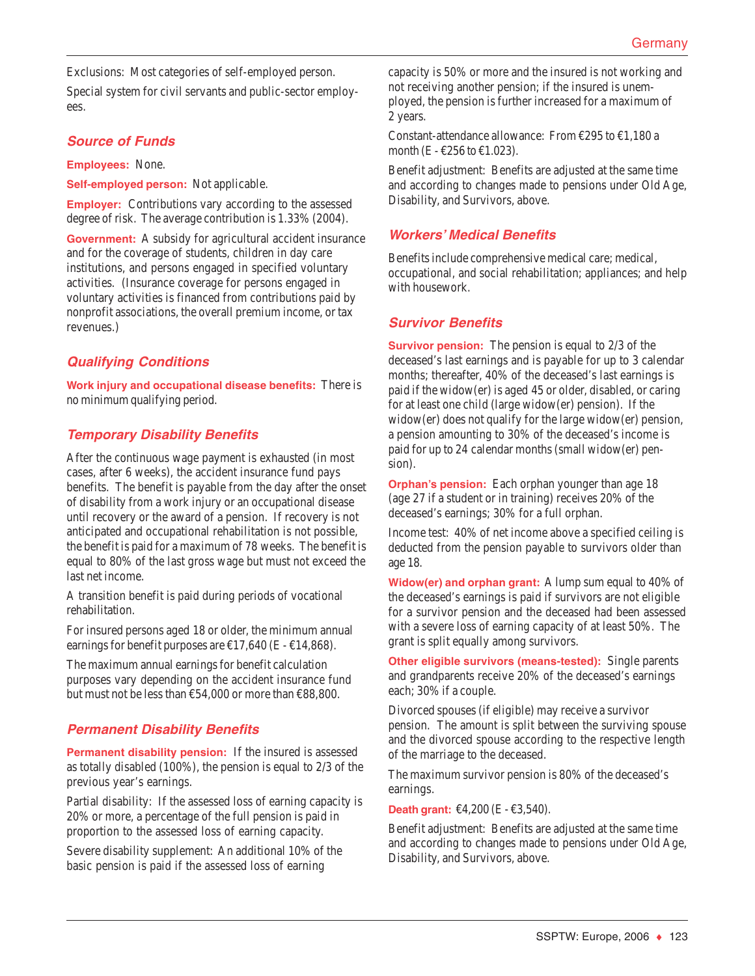Exclusions: Most categories of self-employed person.

Special system for civil servants and public-sector employees.

#### **Source of Funds**

**Employees:** None.

**Self-employed person:** Not applicable.

**Employer:** Contributions vary according to the assessed degree of risk. The average contribution is 1.33% (2004).

**Government:** A subsidy for agricultural accident insurance and for the coverage of students, children in day care institutions, and persons engaged in specified voluntary activities. (Insurance coverage for persons engaged in voluntary activities is financed from contributions paid by nonprofit associations, the overall premium income, or tax revenues.)

# **Qualifying Conditions**

**Work injury and occupational disease benefits:** There is no minimum qualifying period.

## **Temporary Disability Benefits**

After the continuous wage payment is exhausted (in most cases, after 6 weeks), the accident insurance fund pays benefits. The benefit is payable from the day after the onset of disability from a work injury or an occupational disease until recovery or the award of a pension. If recovery is not anticipated and occupational rehabilitation is not possible, the benefit is paid for a maximum of 78 weeks. The benefit is equal to 80% of the last gross wage but must not exceed the last net income.

A transition benefit is paid during periods of vocational rehabilitation.

For insured persons aged 18 or older, the minimum annual earnings for benefit purposes are  $\text{\textsterling}17,640$  (E -  $\text{\textsterling}14,868$ ).

The maximum annual earnings for benefit calculation purposes vary depending on the accident insurance fund but must not be less than  $£54,000$  or more than  $£88,800$ .

## **Permanent Disability Benefits**

**Permanent disability pension:** If the insured is assessed as totally disabled (100%), the pension is equal to 2/3 of the previous year's earnings.

Partial disability: If the assessed loss of earning capacity is 20% or more, a percentage of the full pension is paid in proportion to the assessed loss of earning capacity.

Severe disability supplement: An additional 10% of the basic pension is paid if the assessed loss of earning

capacity is 50% or more and the insured is not working and not receiving another pension; if the insured is unemployed, the pension is further increased for a maximum of 2 years.

Constant-attendance allowance: From €295 to €1,180 a month (E -  $\epsilon$ 256 to  $\epsilon$ 1.023).

Benefit adjustment: Benefits are adjusted at the same time and according to changes made to pensions under Old Age, Disability, and Survivors, above.

#### **Workers' Medical Benefits**

Benefits include comprehensive medical care; medical, occupational, and social rehabilitation; appliances; and help with housework.

#### **Survivor Benefits**

**Survivor pension:** The pension is equal to 2/3 of the deceased's last earnings and is payable for up to 3 calendar months; thereafter, 40% of the deceased's last earnings is paid if the widow(er) is aged 45 or older, disabled, or caring for at least one child (large widow(er) pension). If the widow(er) does not qualify for the large widow(er) pension, a pension amounting to 30% of the deceased's income is paid for up to 24 calendar months (small widow(er) pension).

**Orphan's pension:** Each orphan younger than age 18 (age 27 if a student or in training) receives 20% of the deceased's earnings; 30% for a full orphan.

Income test: 40% of net income above a specified ceiling is deducted from the pension payable to survivors older than age 18.

**Widow(er) and orphan grant:** A lump sum equal to 40% of the deceased's earnings is paid if survivors are not eligible for a survivor pension and the deceased had been assessed with a severe loss of earning capacity of at least 50%. The grant is split equally among survivors.

**Other eligible survivors (means-tested):** Single parents and grandparents receive 20% of the deceased's earnings each; 30% if a couple.

Divorced spouses (if eligible) may receive a survivor pension. The amount is split between the surviving spouse and the divorced spouse according to the respective length of the marriage to the deceased.

The maximum survivor pension is 80% of the deceased's earnings.

**Death grant:** €4,200 (E - €3,540).

Benefit adjustment: Benefits are adjusted at the same time and according to changes made to pensions under Old Age, Disability, and Survivors, above.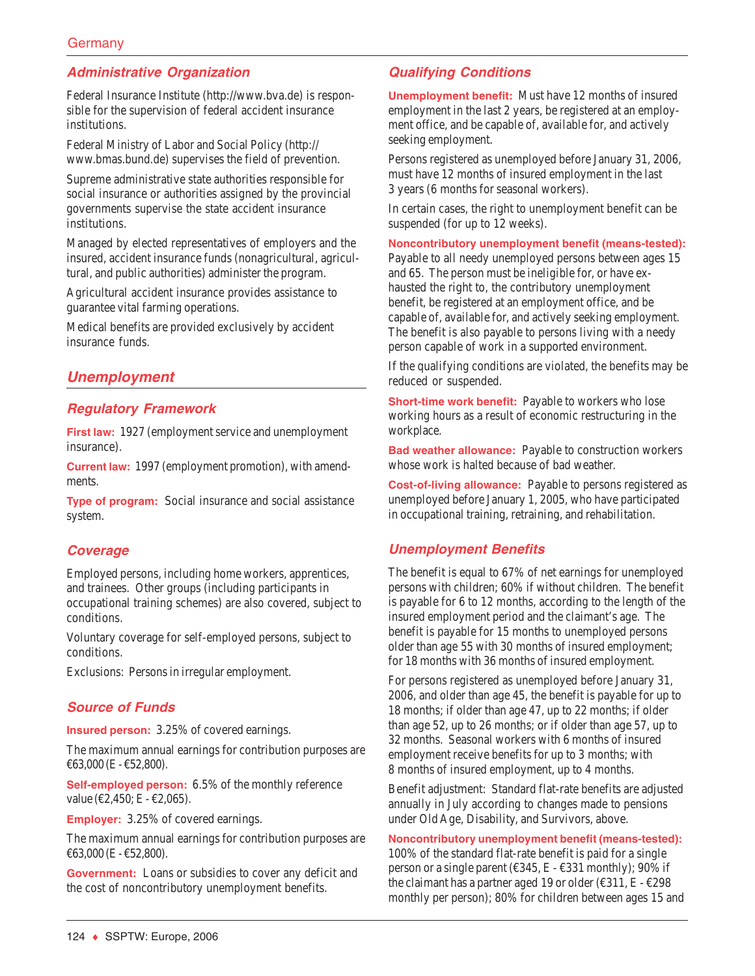# **Administrative Organization**

Federal Insurance Institute (http://www.bva.de) is responsible for the supervision of federal accident insurance institutions.

Federal Ministry of Labor and Social Policy (http:// www.bmas.bund.de) supervises the field of prevention.

Supreme administrative state authorities responsible for social insurance or authorities assigned by the provincial governments supervise the state accident insurance institutions.

Managed by elected representatives of employers and the insured, accident insurance funds (nonagricultural, agricultural, and public authorities) administer the program.

Agricultural accident insurance provides assistance to guarantee vital farming operations.

Medical benefits are provided exclusively by accident insurance funds.

# **Unemployment**

## **Regulatory Framework**

**First law:** 1927 (employment service and unemployment insurance).

**Current law:** 1997 (employment promotion), with amendments.

**Type of program:** Social insurance and social assistance system.

#### **Coverage**

Employed persons, including home workers, apprentices, and trainees. Other groups (including participants in occupational training schemes) are also covered, subject to conditions.

Voluntary coverage for self-employed persons, subject to conditions.

Exclusions: Persons in irregular employment.

## **Source of Funds**

**Insured person:** 3.25% of covered earnings.

The maximum annual earnings for contribution purposes are €63,000 (E - €52,800).

**Self-employed person:** 6.5% of the monthly reference value (€2,450; E - €2,065).

**Employer:** 3.25% of covered earnings.

The maximum annual earnings for contribution purposes are €63,000 (E - €52,800).

**Government:** Loans or subsidies to cover any deficit and the cost of noncontributory unemployment benefits.

# **Qualifying Conditions**

**Unemployment benefit:** Must have 12 months of insured employment in the last 2 years, be registered at an employment office, and be capable of, available for, and actively seeking employment.

Persons registered as unemployed before January 31, 2006, must have 12 months of insured employment in the last 3 years (6 months for seasonal workers).

In certain cases, the right to unemployment benefit can be suspended (for up to 12 weeks).

**Noncontributory unemployment benefit (means-tested):** Payable to all needy unemployed persons between ages 15 and 65. The person must be ineligible for, or have exhausted the right to, the contributory unemployment benefit, be registered at an employment office, and be capable of, available for, and actively seeking employment. The benefit is also payable to persons living with a needy person capable of work in a supported environment.

If the qualifying conditions are violated, the benefits may be reduced or suspended.

**Short-time work benefit:** Payable to workers who lose working hours as a result of economic restructuring in the workplace.

**Bad weather allowance:** Payable to construction workers whose work is halted because of bad weather.

**Cost-of-living allowance:** Payable to persons registered as unemployed before January 1, 2005, who have participated in occupational training, retraining, and rehabilitation.

## **Unemployment Benefits**

The benefit is equal to 67% of net earnings for unemployed persons with children; 60% if without children. The benefit is payable for 6 to 12 months, according to the length of the insured employment period and the claimant's age. The benefit is payable for 15 months to unemployed persons older than age 55 with 30 months of insured employment; for 18 months with 36 months of insured employment.

For persons registered as unemployed before January 31, 2006, and older than age 45, the benefit is payable for up to 18 months; if older than age 47, up to 22 months; if older than age 52, up to 26 months; or if older than age 57, up to 32 months. Seasonal workers with 6 months of insured employment receive benefits for up to 3 months; with 8 months of insured employment, up to 4 months.

Benefit adjustment: Standard flat-rate benefits are adjusted annually in July according to changes made to pensions under Old Age, Disability, and Survivors, above.

**Noncontributory unemployment benefit (means-tested):** 100% of the standard flat-rate benefit is paid for a single person or a single parent ( $\epsilon$ 345, E -  $\epsilon$ 331 monthly); 90% if the claimant has a partner aged 19 or older ( $\epsilon$ 311, E -  $\epsilon$ 298 monthly per person); 80% for children between ages 15 and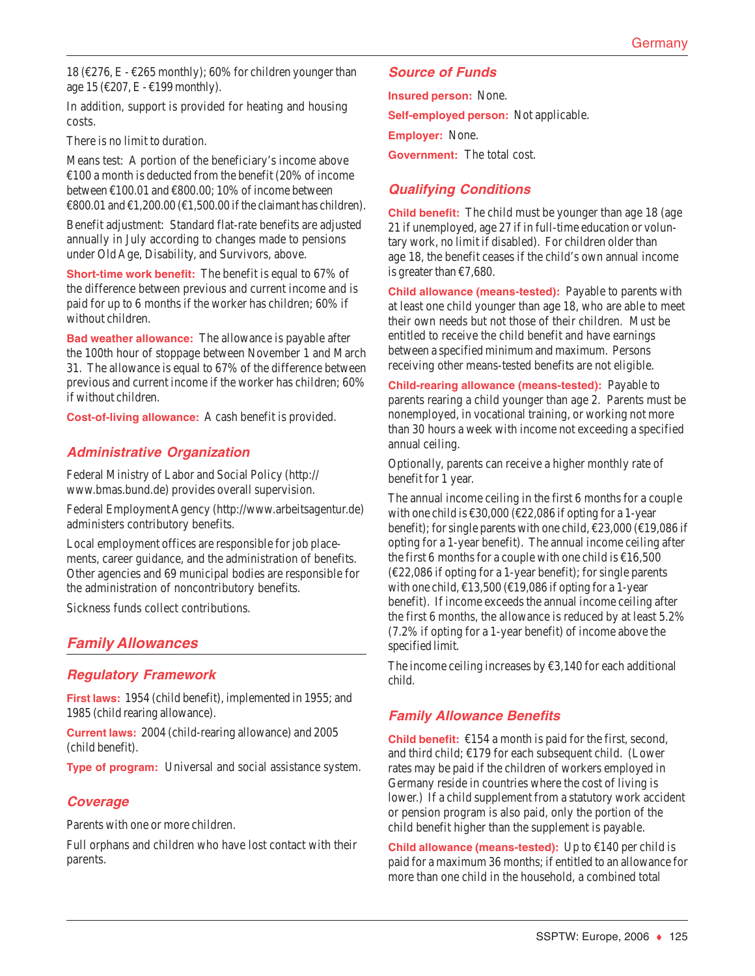18 (€276, E - €265 monthly); 60% for children younger than age 15 (€207, E - €199 monthly).

In addition, support is provided for heating and housing costs.

There is no limit to duration.

Means test: A portion of the beneficiary's income above  $\text{\textsterling}100$  a month is deducted from the benefit (20% of income between  $£100.01$  and  $£800.00$ ; 10% of income between €800.01 and €1,200.00 (€1,500.00 if the claimant has children).

Benefit adjustment: Standard flat-rate benefits are adjusted annually in July according to changes made to pensions under Old Age, Disability, and Survivors, above.

**Short-time work benefit:** The benefit is equal to 67% of the difference between previous and current income and is paid for up to 6 months if the worker has children; 60% if without children.

**Bad weather allowance:** The allowance is payable after the 100th hour of stoppage between November 1 and March 31. The allowance is equal to 67% of the difference between previous and current income if the worker has children; 60% if without children.

**Cost-of-living allowance:** A cash benefit is provided.

## **Administrative Organization**

Federal Ministry of Labor and Social Policy (http:// www.bmas.bund.de) provides overall supervision.

Federal Employment Agency (http://www.arbeitsagentur.de) administers contributory benefits.

Local employment offices are responsible for job placements, career guidance, and the administration of benefits. Other agencies and 69 municipal bodies are responsible for the administration of noncontributory benefits.

Sickness funds collect contributions.

# **Family Allowances**

#### **Regulatory Framework**

**First laws:** 1954 (child benefit), implemented in 1955; and 1985 (child rearing allowance).

**Current laws:** 2004 (child-rearing allowance) and 2005 (child benefit).

**Type of program:** Universal and social assistance system.

## **Coverage**

Parents with one or more children.

Full orphans and children who have lost contact with their parents.

### **Source of Funds**

**Insured person:** None. **Self-employed person:** Not applicable. **Employer:** None.

**Government:** The total cost.

# **Qualifying Conditions**

**Child benefit:** The child must be younger than age 18 (age 21 if unemployed, age 27 if in full-time education or voluntary work, no limit if disabled). For children older than age 18, the benefit ceases if the child's own annual income is greater than  $\epsilon$ 7,680.

**Child allowance (means-tested):** Payable to parents with at least one child younger than age 18, who are able to meet their own needs but not those of their children. Must be entitled to receive the child benefit and have earnings between a specified minimum and maximum. Persons receiving other means-tested benefits are not eligible.

**Child-rearing allowance (means-tested):** Payable to parents rearing a child younger than age 2. Parents must be nonemployed, in vocational training, or working not more than 30 hours a week with income not exceeding a specified annual ceiling.

Optionally, parents can receive a higher monthly rate of benefit for 1 year.

The annual income ceiling in the first 6 months for a couple with one child is  $\text{\textsterling}30,000 \text{\textsterling}22,086$  if opting for a 1-year benefit); for single parents with one child, €23,000 (€19,086 if opting for a 1-year benefit). The annual income ceiling after the first 6 months for a couple with one child is  $£16,500$  $(\text{\textsterling}22,086 \text{ if}$  opting for a 1-year benefit); for single parents with one child,  $\text{\textsterling}13,500$  ( $\text{\textsterling}19,086$  if opting for a 1-year benefit). If income exceeds the annual income ceiling after the first 6 months, the allowance is reduced by at least 5.2% (7.2% if opting for a 1-year benefit) of income above the specified limit.

The income ceiling increases by  $\epsilon$ 3,140 for each additional child.

## **Family Allowance Benefits**

**Child benefit:** €154 a month is paid for the first, second, and third child; €179 for each subsequent child. (Lower rates may be paid if the children of workers employed in Germany reside in countries where the cost of living is lower.) If a child supplement from a statutory work accident or pension program is also paid, only the portion of the child benefit higher than the supplement is payable.

**Child allowance (means-tested):** Up to €140 per child is paid for a maximum 36 months; if entitled to an allowance for more than one child in the household, a combined total